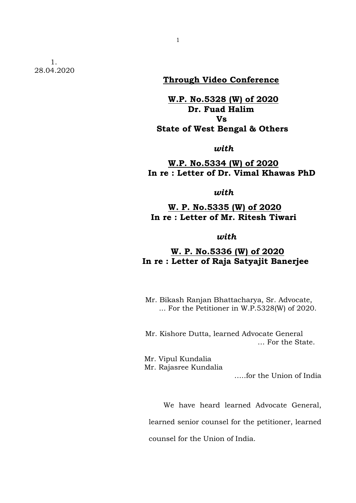1. 28.04.2020

# **Through Video Conference**

## **W.P. No.5328 (W) of 2020 Dr. Fuad Halim Vs State of West Bengal & Others**

*with*

 **W.P. No.5334 (W) of 2020 In re : Letter of Dr. Vimal Khawas PhD**

*with*

#### **W. P. No.5335 (W) of 2020 In re : Letter of Mr. Ritesh Tiwari**

*with*

## **W. P. No.5336 (W) of 2020 In re : Letter of Raja Satyajit Banerjee**

 Mr. Bikash Ranjan Bhattacharya, Sr. Advocate, ... For the Petitioner in W.P.5328(W) of 2020.

 Mr. Kishore Dutta, learned Advocate General … For the State.

Mr. Vipul Kundalia

Mr. Rajasree Kundalia

…..for the Union of India

We have heard learned Advocate General,

learned senior counsel for the petitioner, learned

counsel for the Union of India.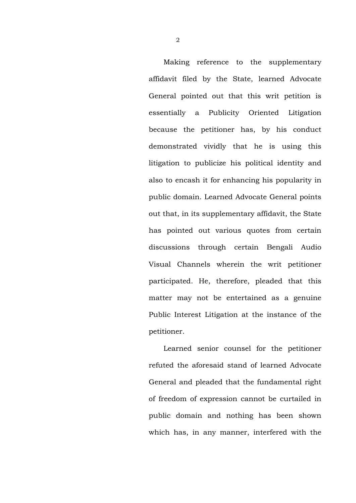Making reference to the supplementary affidavit filed by the State, learned Advocate General pointed out that this writ petition is essentially a Publicity Oriented Litigation because the petitioner has, by his conduct demonstrated vividly that he is using this litigation to publicize his political identity and also to encash it for enhancing his popularity in public domain. Learned Advocate General points out that, in its supplementary affidavit, the State has pointed out various quotes from certain discussions through certain Bengali Audio Visual Channels wherein the writ petitioner participated. He, therefore, pleaded that this matter may not be entertained as a genuine Public Interest Litigation at the instance of the petitioner.

Learned senior counsel for the petitioner refuted the aforesaid stand of learned Advocate General and pleaded that the fundamental right of freedom of expression cannot be curtailed in public domain and nothing has been shown which has, in any manner, interfered with the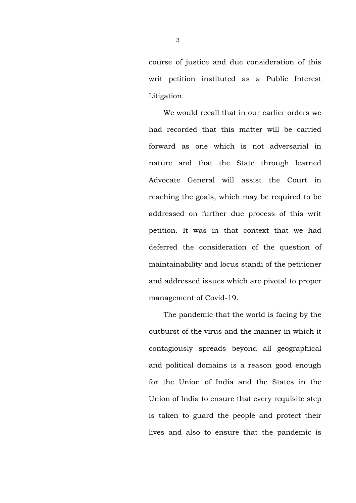course of justice and due consideration of this writ petition instituted as a Public Interest Litigation.

We would recall that in our earlier orders we had recorded that this matter will be carried forward as one which is not adversarial in nature and that the State through learned Advocate General will assist the Court in reaching the goals, which may be required to be addressed on further due process of this writ petition. It was in that context that we had deferred the consideration of the question of maintainability and locus standi of the petitioner and addressed issues which are pivotal to proper management of Covid-19.

The pandemic that the world is facing by the outburst of the virus and the manner in which it contagiously spreads beyond all geographical and political domains is a reason good enough for the Union of India and the States in the Union of India to ensure that every requisite step is taken to guard the people and protect their lives and also to ensure that the pandemic is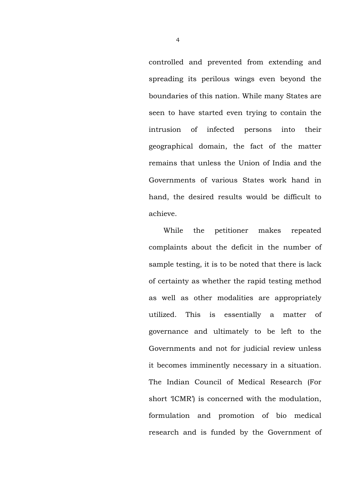controlled and prevented from extending and spreading its perilous wings even beyond the boundaries of this nation. While many States are seen to have started even trying to contain the intrusion of infected persons into their geographical domain, the fact of the matter remains that unless the Union of India and the Governments of various States work hand in hand, the desired results would be difficult to achieve.

While the petitioner makes repeated complaints about the deficit in the number of sample testing, it is to be noted that there is lack of certainty as whether the rapid testing method as well as other modalities are appropriately utilized. This is essentially a matter of governance and ultimately to be left to the Governments and not for judicial review unless it becomes imminently necessary in a situation. The Indian Council of Medical Research (For short 'ICMR') is concerned with the modulation, formulation and promotion of bio medical research and is funded by the Government of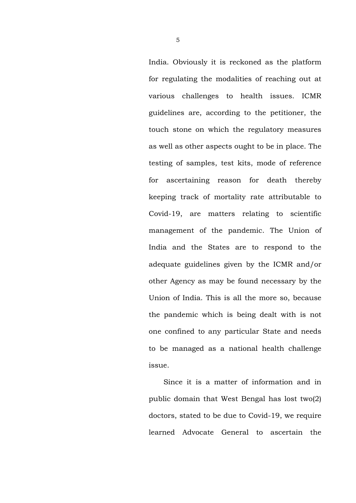India. Obviously it is reckoned as the platform for regulating the modalities of reaching out at various challenges to health issues. ICMR guidelines are, according to the petitioner, the touch stone on which the regulatory measures as well as other aspects ought to be in place. The testing of samples, test kits, mode of reference for ascertaining reason for death thereby keeping track of mortality rate attributable to Covid-19, are matters relating to scientific management of the pandemic. The Union of India and the States are to respond to the adequate guidelines given by the ICMR and/or other Agency as may be found necessary by the Union of India. This is all the more so, because the pandemic which is being dealt with is not one confined to any particular State and needs to be managed as a national health challenge issue.

Since it is a matter of information and in public domain that West Bengal has lost two(2) doctors, stated to be due to Covid-19, we require learned Advocate General to ascertain the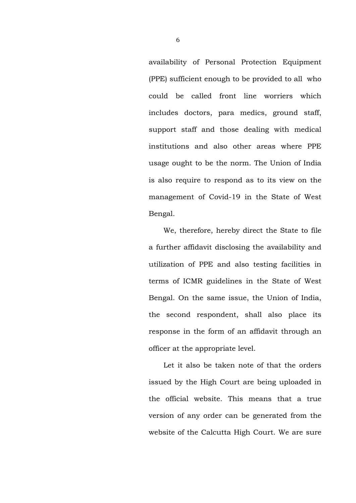availability of Personal Protection Equipment (PPE) sufficient enough to be provided to all who could be called front line worriers which includes doctors, para medics, ground staff, support staff and those dealing with medical institutions and also other areas where PPE usage ought to be the norm. The Union of India is also require to respond as to its view on the management of Covid-19 in the State of West Bengal.

We, therefore, hereby direct the State to file a further affidavit disclosing the availability and utilization of PPE and also testing facilities in terms of ICMR guidelines in the State of West Bengal. On the same issue, the Union of India, the second respondent, shall also place its response in the form of an affidavit through an officer at the appropriate level.

Let it also be taken note of that the orders issued by the High Court are being uploaded in the official website. This means that a true version of any order can be generated from the website of the Calcutta High Court. We are sure